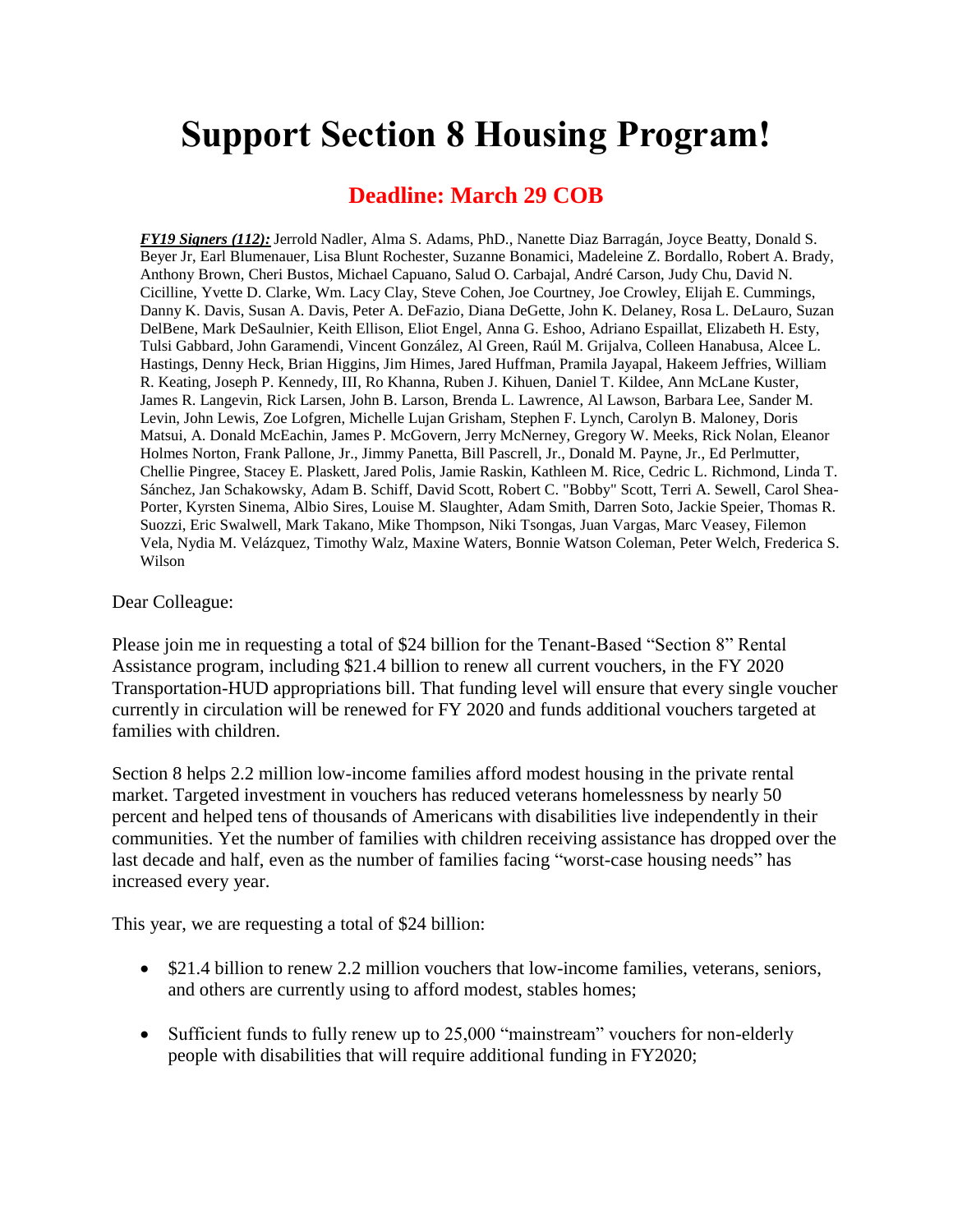## **Support Section 8 Housing Program!**

## **Deadline: March 29 COB**

*FY19 Signers (112):* Jerrold Nadler, Alma S. Adams, PhD., Nanette Diaz Barragán, Joyce Beatty, Donald S. Beyer Jr, Earl Blumenauer, Lisa Blunt Rochester, Suzanne Bonamici, Madeleine Z. Bordallo, Robert A. Brady, Anthony Brown, Cheri Bustos, Michael Capuano, Salud O. Carbajal, André Carson, Judy Chu, David N. Cicilline, Yvette D. Clarke, Wm. Lacy Clay, Steve Cohen, Joe Courtney, Joe Crowley, Elijah E. Cummings, Danny K. Davis, Susan A. Davis, Peter A. DeFazio, Diana DeGette, John K. Delaney, Rosa L. DeLauro, Suzan DelBene, Mark DeSaulnier, Keith Ellison, Eliot Engel, Anna G. Eshoo, Adriano Espaillat, Elizabeth H. Esty, Tulsi Gabbard, John Garamendi, Vincent González, Al Green, Raúl M. Grijalva, Colleen Hanabusa, Alcee L. Hastings, Denny Heck, Brian Higgins, Jim Himes, Jared Huffman, Pramila Jayapal, Hakeem Jeffries, William R. Keating, Joseph P. Kennedy, III, Ro Khanna, Ruben J. Kihuen, Daniel T. Kildee, Ann McLane Kuster, James R. Langevin, Rick Larsen, John B. Larson, Brenda L. Lawrence, Al Lawson, Barbara Lee, Sander M. Levin, John Lewis, Zoe Lofgren, Michelle Lujan Grisham, Stephen F. Lynch, Carolyn B. Maloney, Doris Matsui, A. Donald McEachin, James P. McGovern, Jerry McNerney, Gregory W. Meeks, Rick Nolan, Eleanor Holmes Norton, Frank Pallone, Jr., Jimmy Panetta, Bill Pascrell, Jr., Donald M. Payne, Jr., Ed Perlmutter, Chellie Pingree, Stacey E. Plaskett, Jared Polis, Jamie Raskin, Kathleen M. Rice, Cedric L. Richmond, Linda T. Sánchez, Jan Schakowsky, Adam B. Schiff, David Scott, Robert C. "Bobby" Scott, Terri A. Sewell, Carol Shea-Porter, Kyrsten Sinema, Albio Sires, Louise M. Slaughter, Adam Smith, Darren Soto, Jackie Speier, Thomas R. Suozzi, Eric Swalwell, Mark Takano, Mike Thompson, Niki Tsongas, Juan Vargas, Marc Veasey, Filemon Vela, Nydia M. Velázquez, Timothy Walz, Maxine Waters, Bonnie Watson Coleman, Peter Welch, Frederica S. Wilson

## Dear Colleague:

Please join me in requesting a total of \$24 billion for the Tenant-Based "Section 8" Rental Assistance program, including \$21.4 billion to renew all current vouchers, in the FY 2020 Transportation-HUD appropriations bill. That funding level will ensure that every single voucher currently in circulation will be renewed for FY 2020 and funds additional vouchers targeted at families with children.

Section 8 helps 2.2 million low-income families afford modest housing in the private rental market. Targeted investment in vouchers has reduced veterans homelessness by nearly 50 percent and helped tens of thousands of Americans with disabilities live independently in their communities. Yet the number of families with children receiving assistance has dropped over the last decade and half, even as the number of families facing "worst-case housing needs" has increased every year.

This year, we are requesting a total of \$24 billion:

- \$21.4 billion to renew 2.2 million vouchers that low-income families, veterans, seniors, and others are currently using to afford modest, stables homes;
- Sufficient funds to fully renew up to 25,000 "mainstream" vouchers for non-elderly people with disabilities that will require additional funding in FY2020;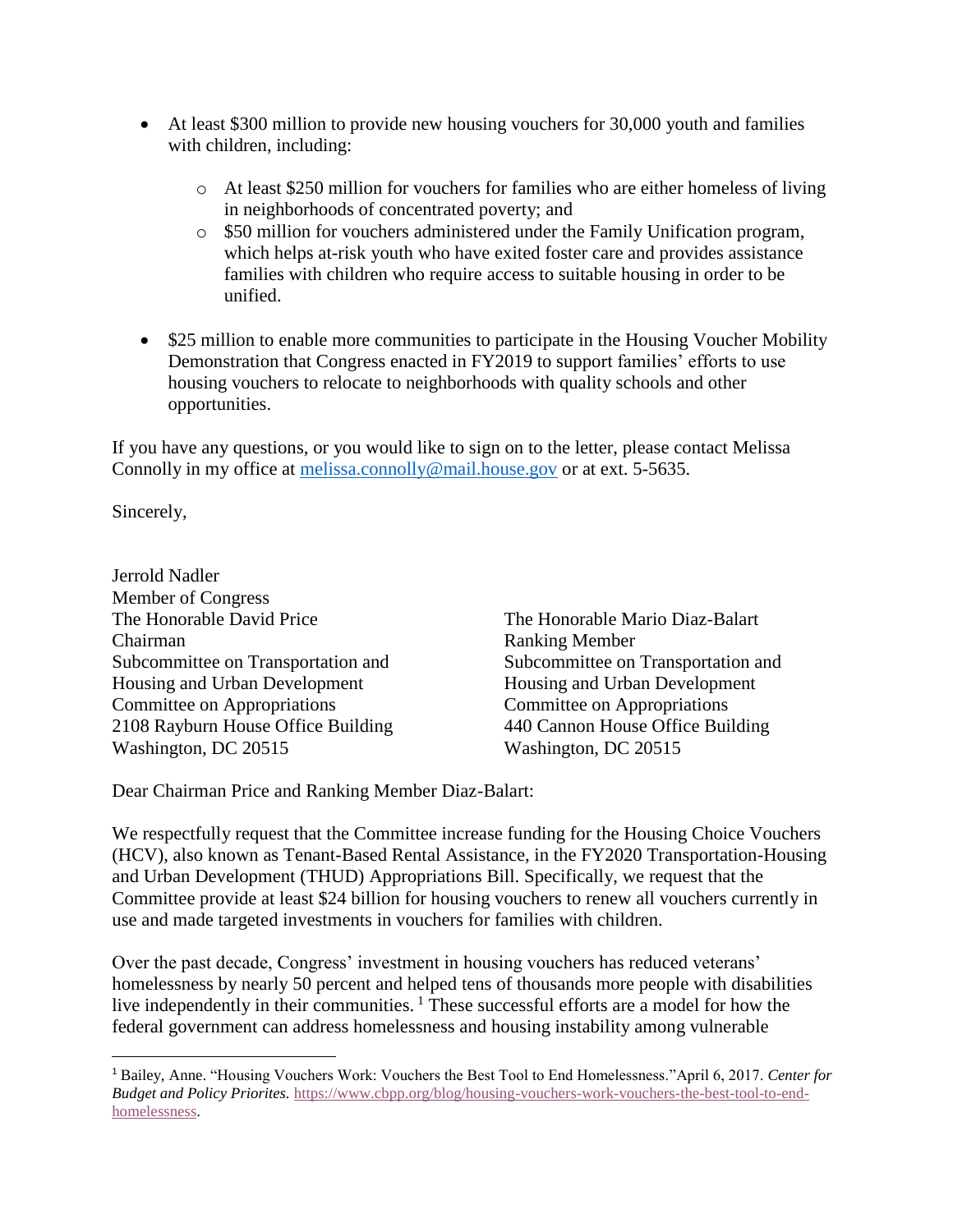- At least \$300 million to provide new housing vouchers for 30,000 youth and families with children, including:
	- o At least \$250 million for vouchers for families who are either homeless of living in neighborhoods of concentrated poverty; and
	- o \$50 million for vouchers administered under the Family Unification program, which helps at-risk youth who have exited foster care and provides assistance families with children who require access to suitable housing in order to be unified.
- \$25 million to enable more communities to participate in the Housing Voucher Mobility Demonstration that Congress enacted in FY2019 to support families' efforts to use housing vouchers to relocate to neighborhoods with quality schools and other opportunities.

If you have any questions, or you would like to sign on to the letter, please contact Melissa Connolly in my office at [melissa.connolly@mail.house.gov](mailto:melissa.connolly@mail.house.gov) or at ext. 5-5635.

Sincerely,

 $\overline{\phantom{a}}$ 

Jerrold Nadler Member of Congress The Honorable David Price The Honorable Mario Diaz-Balart Chairman Ranking Member Subcommittee on Transportation and Subcommittee on Transportation and Housing and Urban Development Housing and Urban Development Committee on Appropriations Committee on Appropriations 2108 Rayburn House Office Building 440 Cannon House Office Building Washington, DC 20515 Washington, DC 20515

Dear Chairman Price and Ranking Member Diaz-Balart:

We respectfully request that the Committee increase funding for the Housing Choice Vouchers (HCV), also known as Tenant-Based Rental Assistance, in the FY2020 Transportation-Housing and Urban Development (THUD) Appropriations Bill. Specifically, we request that the Committee provide at least \$24 billion for housing vouchers to renew all vouchers currently in use and made targeted investments in vouchers for families with children.

Over the past decade, Congress' investment in housing vouchers has reduced veterans' homelessness by nearly 50 percent and helped tens of thousands more people with disabilities live independently in their communities.<sup>1</sup> These successful efforts are a model for how the federal government can address homelessness and housing instability among vulnerable

<sup>1</sup> Bailey, Anne. "Housing Vouchers Work: Vouchers the Best Tool to End Homelessness."April 6, 2017. *Center for Budget and Policy Priorites.* [https://www.cbpp.org/blog/housing-vouchers-work-vouchers-the-best-tool-to-end](https://www.cbpp.org/blog/housing-vouchers-work-vouchers-the-best-tool-to-end-homelessness)[homelessness.](https://www.cbpp.org/blog/housing-vouchers-work-vouchers-the-best-tool-to-end-homelessness)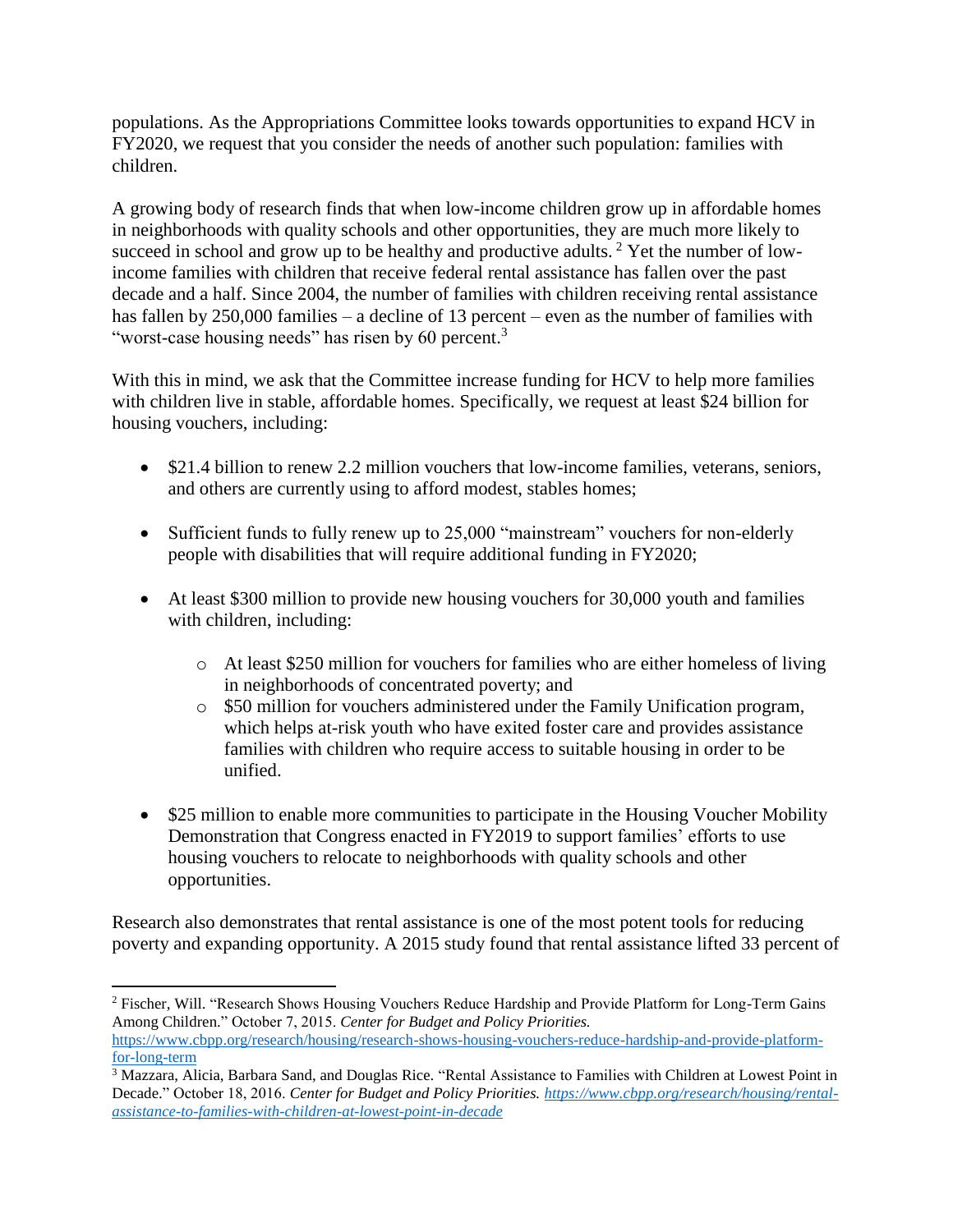populations. As the Appropriations Committee looks towards opportunities to expand HCV in FY2020, we request that you consider the needs of another such population: families with children.

A growing body of research finds that when low-income children grow up in affordable homes in neighborhoods with quality schools and other opportunities, they are much more likely to succeed in school and grow up to be healthy and productive adults.<sup>2</sup> Yet the number of lowincome families with children that receive federal rental assistance has fallen over the past decade and a half. Since 2004, the number of families with children receiving rental assistance has fallen by 250,000 families – a decline of 13 percent – even as the number of families with "worst-case housing needs" has risen by 60 percent.<sup>3</sup>

With this in mind, we ask that the Committee increase funding for HCV to help more families with children live in stable, affordable homes. Specifically, we request at least \$24 billion for housing vouchers, including:

- \$21.4 billion to renew 2.2 million vouchers that low-income families, veterans, seniors, and others are currently using to afford modest, stables homes;
- Sufficient funds to fully renew up to 25,000 "mainstream" vouchers for non-elderly people with disabilities that will require additional funding in FY2020;
- At least \$300 million to provide new housing vouchers for 30,000 youth and families with children, including:
	- o At least \$250 million for vouchers for families who are either homeless of living in neighborhoods of concentrated poverty; and
	- o \$50 million for vouchers administered under the Family Unification program, which helps at-risk youth who have exited foster care and provides assistance families with children who require access to suitable housing in order to be unified.
- \$25 million to enable more communities to participate in the Housing Voucher Mobility Demonstration that Congress enacted in FY2019 to support families' efforts to use housing vouchers to relocate to neighborhoods with quality schools and other opportunities.

Research also demonstrates that rental assistance is one of the most potent tools for reducing poverty and expanding opportunity. A 2015 study found that rental assistance lifted 33 percent of

 $\overline{\phantom{a}}$ 

<sup>2</sup> Fischer, Will. "Research Shows Housing Vouchers Reduce Hardship and Provide Platform for Long-Term Gains Among Children." October 7, 2015. *Center for Budget and Policy Priorities.*  [https://www.cbpp.org/research/housing/research-shows-housing-vouchers-reduce-hardship-and-provide-platform](https://www.cbpp.org/research/housing/research-shows-housing-vouchers-reduce-hardship-and-provide-platform-for-long-term)[for-long-term](https://www.cbpp.org/research/housing/research-shows-housing-vouchers-reduce-hardship-and-provide-platform-for-long-term)

<sup>&</sup>lt;sup>3</sup> Mazzara, Alicia, Barbara Sand, and Douglas Rice. "Rental Assistance to Families with Children at Lowest Point in Decade." October 18, 2016. *Center for Budget and Policy Priorities[. https://www.cbpp.org/research/housing/rental](https://www.cbpp.org/research/housing/rental-assistance-to-families-with-children-at-lowest-point-in-decade)[assistance-to-families-with-children-at-lowest-point-in-decade](https://www.cbpp.org/research/housing/rental-assistance-to-families-with-children-at-lowest-point-in-decade)*